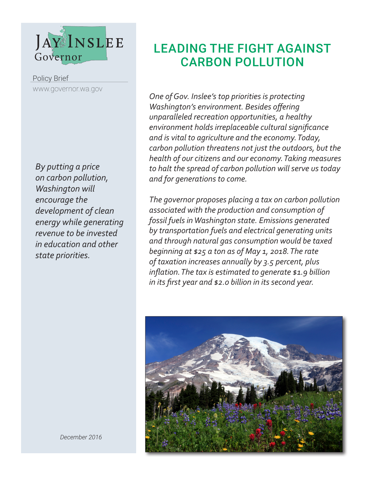

Policy Brief www.governor.wa.gov

*By putting a price on carbon pollution, Washington will encourage the development of clean energy while generating revenue to be invested in education and other state priorities.*

# LEADING THE FIGHT AGAINST CARBON POLLUTION

*One of Gov. Inslee's top priorities is protecting Washington's environment. Besides offering unparalleled recreation opportunities, a healthy environment holds irreplaceable cultural significance and is vital to agriculture and the economy. Today, carbon pollution threatens not just the outdoors, but the health of our citizens and our economy. Taking measures to halt the spread of carbon pollution will serve us today and for generations to come.*

*The governor proposes placing a tax on carbon pollution associated with the production and consumption of fossil fuels in Washington state. Emissions generated by transportation fuels and electrical generating units and through natural gas consumption would be taxed beginning at \$25 a ton as of May 1, 2018. The rate of taxation increases annually by 3.5 percent, plus inflation. The tax is estimated to generate \$1.9 billion in its first year and \$2.0 billion in its second year.* 



*December 2016*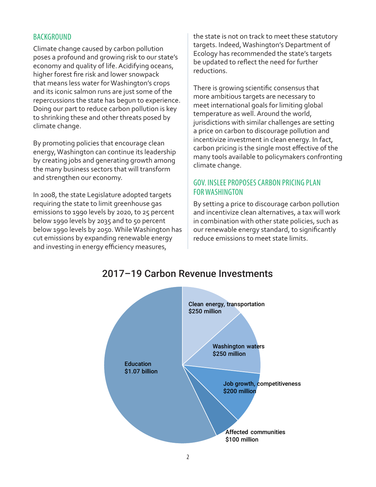### BACKGROUND

Climate change caused by carbon pollution poses a profound and growing risk to our state's economy and quality of life. Acidifying oceans, higher forest fire risk and lower snowpack that means less water for Washington's crops and its iconic salmon runs are just some of the repercussions the state has begun to experience. Doing our part to reduce carbon pollution is key to shrinking these and other threats posed by climate change.

By promoting policies that encourage clean energy, Washington can continue its leadership by creating jobs and generating growth among the many business sectors that will transform and strengthen our economy.

In 2008, the state Legislature adopted targets requiring the state to limit greenhouse gas emissions to 1990 levels by 2020, to 25 percent below 1990 levels by 2035 and to 50 percent below 1990 levels by 2050. While Washington has cut emissions by expanding renewable energy and investing in energy efficiency measures,

the state is not on track to meet these statutory targets. Indeed, Washington's Department of Ecology has recommended the state's targets be updated to reflect the need for further reductions.

There is growing scientific consensus that more ambitious targets are necessary to meet international goals for limiting global temperature as well. Around the world, jurisdictions with similar challenges are setting a price on carbon to discourage pollution and incentivize investment in clean energy. In fact, carbon pricing is the single most effective of the many tools available to policymakers confronting climate change.

## GOV. INSLEE PROPOSES CARBON PRICING PLAN FOR WASHINGTON

By setting a price to discourage carbon pollution and incentivize clean alternatives, a tax will work in combination with other state policies, such as our renewable energy standard, to significantly reduce emissions to meet state limits.



# 2017–19 Carbon Revenue Investments